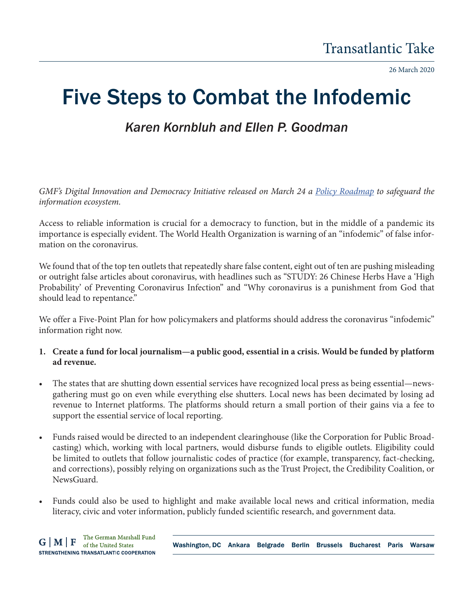26 March 2020

## Five Steps to Combat the Infodemic

## *Karen Kornbluh and Ellen P. Goodman*

*GMF's Digital Innovation and Democracy Initiative released on March 24 a Policy Roadmap to safeguard the information ecosystem.* 

Access to reliable information is crucial for a democracy to function, but in the middle of a pandemic its importance is especially evident. The World Health Organization is warning of an "infodemic" of false information on the coronavirus.

We found that of the top ten outlets that repeatedly share false content, eight out of ten are pushing misleading or outright false articles about coronavirus, with headlines such as "STUDY: 26 Chinese Herbs Have a 'High Probability' of Preventing Coronavirus Infection" and "Why coronavirus is a punishment from God that should lead to repentance."

We offer a Five-Point Plan for how policymakers and platforms should address the coronavirus "infodemic" information right now.

## **1. Create a fund for local journalism—a public good, essential in a crisis. Would be funded by platform ad revenue.**

- The states that are shutting down essential services have recognized local press as being essential—newsgathering must go on even while everything else shutters. Local news has been decimated by losing ad revenue to Internet platforms. The platforms should return a small portion of their gains via a fee to support the essential service of local reporting.
- Funds raised would be directed to an independent clearinghouse (like the Corporation for Public Broadcasting) which, working with local partners, would disburse funds to eligible outlets. Eligibility could be limited to outlets that follow journalistic codes of practice (for example, transparency, fact-checking, and corrections), possibly relying on organizations such as the Trust Project, the Credibility Coalition, or NewsGuard.
- Funds could also be used to highlight and make available local news and critical information, media literacy, civic and voter information, publicly funded scientific research, and government data.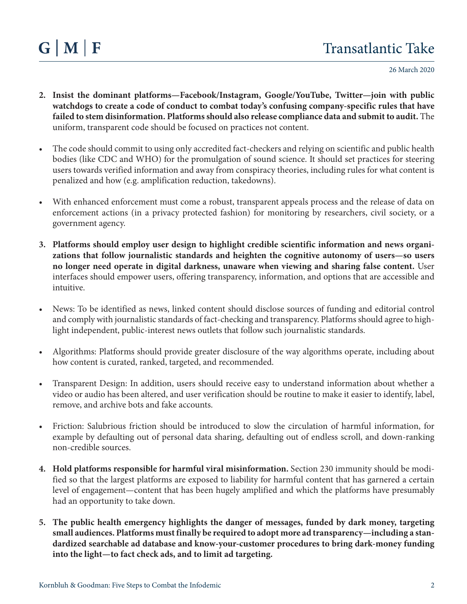26 March 2020

- **2. Insist the dominant platforms—Facebook/Instagram, Google/YouTube, Twitter—join with public watchdogs to create a code of conduct to combat today's confusing company-specific rules that have failed to stem disinformation. Platforms should also release compliance data and submit to audit.** The uniform, transparent code should be focused on practices not content.
- The code should commit to using only accredited fact-checkers and relying on scientific and public health bodies (like CDC and WHO) for the promulgation of sound science. It should set practices for steering users towards verified information and away from conspiracy theories, including rules for what content is penalized and how (e.g. amplification reduction, takedowns).
- With enhanced enforcement must come a robust, transparent appeals process and the release of data on enforcement actions (in a privacy protected fashion) for monitoring by researchers, civil society, or a government agency.
- **3. Platforms should employ user design to highlight credible scientific information and news organizations that follow journalistic standards and heighten the cognitive autonomy of users—so users no longer need operate in digital darkness, unaware when viewing and sharing false content.** User interfaces should empower users, offering transparency, information, and options that are accessible and intuitive.
- News: To be identified as news, linked content should disclose sources of funding and editorial control and comply with journalistic standards of fact-checking and transparency. Platforms should agree to highlight independent, public-interest news outlets that follow such journalistic standards.
- Algorithms: Platforms should provide greater disclosure of the way algorithms operate, including about how content is curated, ranked, targeted, and recommended.
- Transparent Design: In addition, users should receive easy to understand information about whether a video or audio has been altered, and user verification should be routine to make it easier to identify, label, remove, and archive bots and fake accounts.
- Friction: Salubrious friction should be introduced to slow the circulation of harmful information, for example by defaulting out of personal data sharing, defaulting out of endless scroll, and down-ranking non-credible sources.
- **4. Hold platforms responsible for harmful viral misinformation.** Section 230 immunity should be modified so that the largest platforms are exposed to liability for harmful content that has garnered a certain level of engagement—content that has been hugely amplified and which the platforms have presumably had an opportunity to take down.
- **5. The public health emergency highlights the danger of messages, funded by dark money, targeting small audiences. Platforms must finally be required to adopt more ad transparency—including a standardized searchable ad database and know-your-customer procedures to bring dark-money funding into the light—to fact check ads, and to limit ad targeting.**